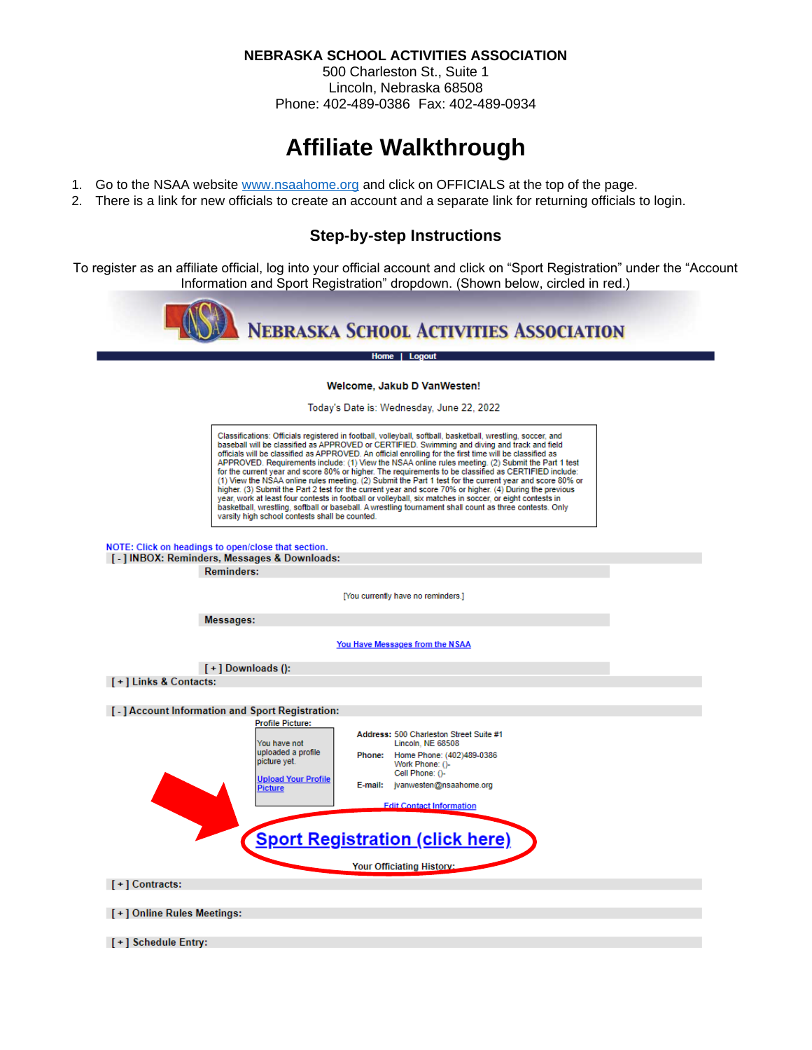**NEBRASKA SCHOOL ACTIVITIES ASSOCIATION**

500 Charleston St., Suite 1 Lincoln, Nebraska 68508 Phone: 402-489-0386 Fax: 402-489-0934

# **Affiliate Walkthrough**

- 1. Go to the NSAA website [www.nsaahome.org](http://www.nsaahome.org/) and click on OFFICIALS at the top of the page.
- 2. There is a link for new officials to create an account and a separate link for returning officials to login.

## **Step-by-step Instructions**

To register as an affiliate official, log into your official account and click on "Sport Registration" under the "Account Information and Sport Registration" dropdown. (Shown below, circled in red.)



Home | Logout

#### Welcome, Jakub D VanWesten!

Today's Date is: Wednesday, June 22, 2022

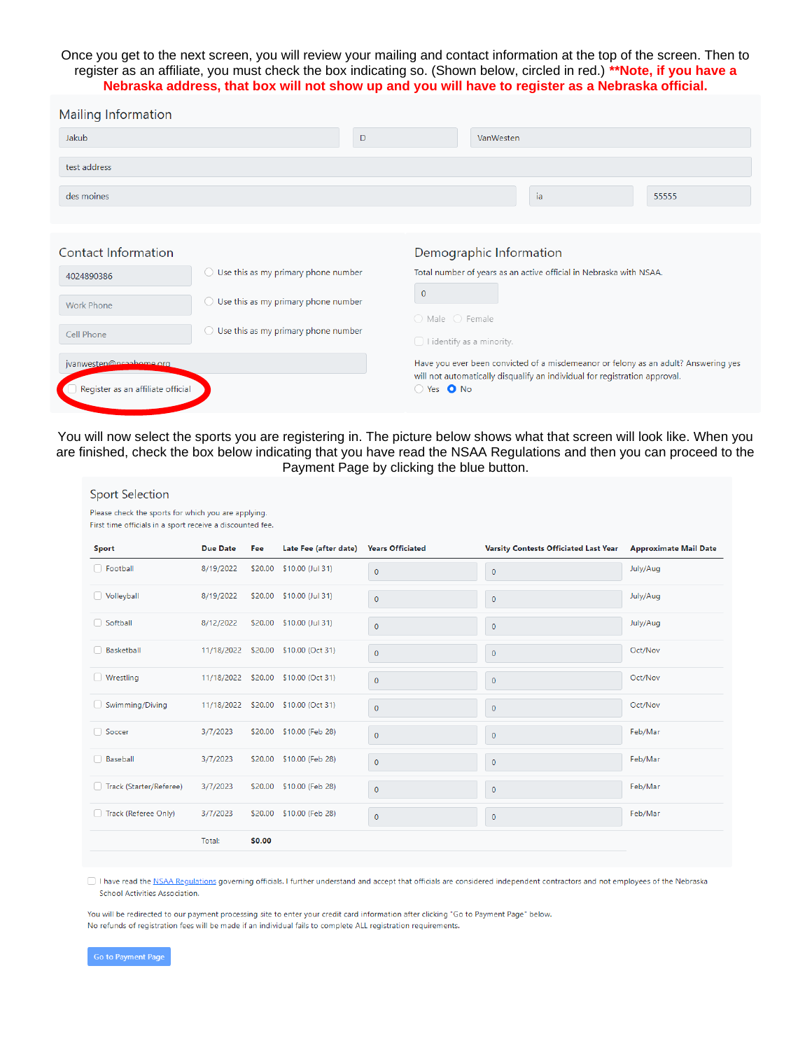#### Once you get to the next screen, you will review your mailing and contact information at the top of the screen. Then to register as an affiliate, you must check the box indicating so. (Shown below, circled in red.) **\*\*Note, if you have a Nebraska address, that box will not show up and you will have to register as a Nebraska official.**

| <b>Mailing Information</b>        |                                                   |                                                                                                                                                                  |                                                                    |                         |    |       |  |  |
|-----------------------------------|---------------------------------------------------|------------------------------------------------------------------------------------------------------------------------------------------------------------------|--------------------------------------------------------------------|-------------------------|----|-------|--|--|
| Jakub                             |                                                   | D                                                                                                                                                                |                                                                    | VanWesten               |    |       |  |  |
| test address                      |                                                   |                                                                                                                                                                  |                                                                    |                         |    |       |  |  |
| des moines                        |                                                   |                                                                                                                                                                  |                                                                    |                         | ia | 55555 |  |  |
|                                   |                                                   |                                                                                                                                                                  |                                                                    |                         |    |       |  |  |
| Contact Information               |                                                   |                                                                                                                                                                  |                                                                    | Demographic Information |    |       |  |  |
| 4024890386                        | Use this as my primary phone number<br>0          |                                                                                                                                                                  | Total number of years as an active official in Nebraska with NSAA. |                         |    |       |  |  |
| <b>Work Phone</b>                 | Use this as my primary phone number<br>$\circ$    |                                                                                                                                                                  | $\mathbf{0}$<br>$\bigcirc$ Male $\bigcirc$ Female                  |                         |    |       |  |  |
| Cell Phone                        | Use this as my primary phone number<br>$\bigcirc$ |                                                                                                                                                                  | $\Box$ I identify as a minority.                                   |                         |    |       |  |  |
| jvanwesten@nsaabome.org           |                                                   | Have you ever been convicted of a misdemeanor or felony as an adult? Answering yes<br>will not automatically disqualify an individual for registration approval. |                                                                    |                         |    |       |  |  |
| Register as an affiliate official |                                                   |                                                                                                                                                                  | ○ Yes ● No                                                         |                         |    |       |  |  |

You will now select the sports you are registering in. The picture below shows what that screen will look like. When you are finished, check the box below indicating that you have read the NSAA Regulations and then you can proceed to the Payment Page by clicking the blue button.

| <b>Sport Selection</b><br>Please check the sports for which you are applying. |                 |        |                                     |                         |                                              |                              |
|-------------------------------------------------------------------------------|-----------------|--------|-------------------------------------|-------------------------|----------------------------------------------|------------------------------|
| First time officials in a sport receive a discounted fee.                     |                 |        |                                     |                         |                                              |                              |
| Sport                                                                         | <b>Due Date</b> | Fee    | Late Fee (after date)               | <b>Years Officiated</b> | <b>Varsity Contests Officiated Last Year</b> | <b>Approximate Mail Date</b> |
| □ Football                                                                    | 8/19/2022       |        | \$20.00 \$10.00 (Jul 31)            | $\pmb{0}$               | $\pmb{0}$                                    | July/Aug                     |
| Volleyball                                                                    | 8/19/2022       |        | \$20.00 \$10.00 (Jul 31)            | $\pmb{0}$               | $\pmb{0}$                                    | July/Aug                     |
| □ Softball                                                                    | 8/12/2022       |        | \$20.00 \$10.00 (Jul 31)            | $\mathbf{0}$            | $\pmb{0}$                                    | July/Aug                     |
| <b>Basketball</b>                                                             |                 |        | 11/18/2022 \$20.00 \$10.00 (Oct 31) | $\mathbf{0}$            | $\pmb{0}$                                    | Oct/Nov                      |
| □ Wrestling                                                                   |                 |        | 11/18/2022 \$20.00 \$10.00 (Oct 31) | $\pmb{0}$               | $\pmb{0}$                                    | Oct/Nov                      |
| Swimming/Diving                                                               |                 |        | 11/18/2022 \$20.00 \$10.00 (Oct 31) | 0                       | $\pmb{0}$                                    | Oct/Nov                      |
| □ Soccer                                                                      | 3/7/2023        |        | \$20.00 \$10.00 (Feb 28)            | $\overline{0}$          | $\bf{0}$                                     | Feb/Mar                      |
| <b>Baseball</b>                                                               | 3/7/2023        |        | \$20.00 \$10.00 (Feb 28)            | $\mathbf{0}$            | $\mathbf 0$                                  | Feb/Mar                      |
| Track (Starter/Referee)                                                       | 3/7/2023        |        | \$20.00 \$10.00 (Feb 28)            | $\mathbf{0}$            | $\pmb{0}$                                    | Feb/Mar                      |
| Track (Referee Only)                                                          | 3/7/2023        |        | \$20.00 \$10.00 (Feb 28)            | $\bf 0$                 | 0                                            | Feb/Mar                      |
|                                                                               | Total:          | \$0.00 |                                     |                         |                                              |                              |

 $\Box$  I have read the NSAA Regulations governing officials. I further understand and accept that officials are considered independent contractors and not employees of the Nebraska School Activities Association.

You will be redirected to our payment processing site to enter your credit card information after clicking "Go to Payment Page" below. No refunds of registration fees will be made if an individual fails to complete ALL registration requirements.